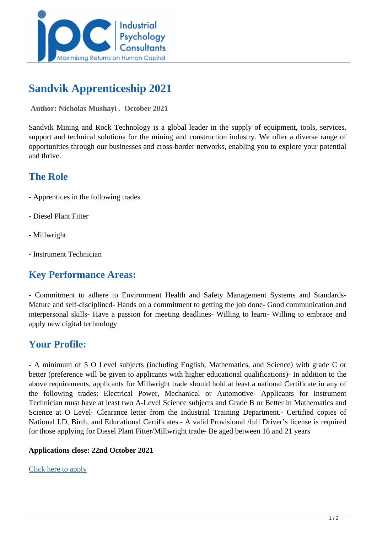

# **Sandvik Apprenticeship 2021**

 **Author: Nicholas Mushayi . October 2021** 

Sandvik Mining and Rock Technology is a global leader in the supply of equipment, tools, services, support and technical solutions for the mining and construction industry. We offer a diverse range of opportunities through our businesses and cross-border networks, enabling you to explore your potential and thrive.

## **The Role**

- Apprentices in the following trades
- Diesel Plant Fitter
- Millwright
- Instrument Technician

## **Key Performance Areas:**

- Commitment to adhere to Environment Health and Safety Management Systems and Standards-Mature and self-disciplined- Hands on a commitment to getting the job done- Good communication and interpersonal skills- Have a passion for meeting deadlines- Willing to learn- Willing to embrace and apply new digital technology

## **Your Profile:**

- A minimum of 5 O Level subjects (including English, Mathematics, and Science) with grade C or better (preference will be given to applicants with higher educational qualifications)- In addition to the above requirements, applicants for Millwright trade should hold at least a national Certificate in any of the following trades: Electrical Power, Mechanical or Automotive- Applicants for Instrument Technician must have at least two A-Level Science subjects and Grade B or Better in Mathematics and Science at O Level- Clearance letter from the Industrial Training Department.- Certified copies of National I.D, Birth, and Educational Certificates.- A valid Provisional /full Driver's license is required for those applying for Diesel Plant Fitter/Millwright trade- Be aged between 16 and 21 years

### **Applications close: 22nd October 2021**

[Click here to apply](https://sandvik.wd3.myworkdayjobs.com/sandvik-jobs/job/Harare/Apprentices_R0034151-1?source=Linkedin)